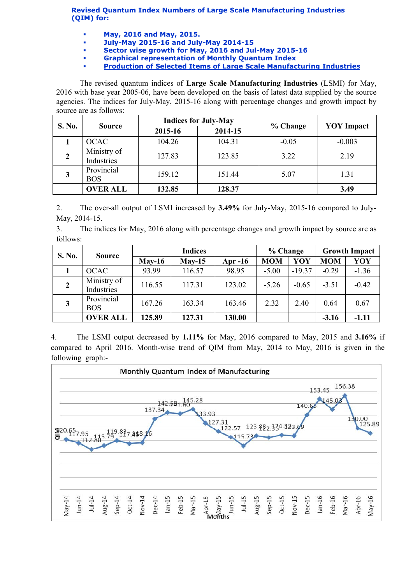Revised Quantum Index Numbers of Large Scale Manufacturing Industries (QIM) for:

- May, 2016 and May, 2015.
- July-May 2015-16 and July-May 2014-15
- Sector wise growth for May, 2016 and Jul-May 2015-16
- Graphical representation of Monthly Quantum Index
- [Production of Selected Items of Large Scale Manufacturing Industries](http://www.statpak.gov.pk/depts/fbs/statistics/qim/qim_details.pdf)

The revised quantum indices of Large Scale Manufacturing Industries (LSMI) for May, 2016 with base year 2005-06, have been developed on the basis of latest data supplied by the source agencies. The indices for July-May, 2015-16 along with percentage changes and growth impact by source are as follows:

| S. No.       | <b>Source</b>             |         | <b>Indices for July-May</b> |          | <b>YOY</b> Impact |  |
|--------------|---------------------------|---------|-----------------------------|----------|-------------------|--|
|              |                           | 2015-16 | 2014-15                     | % Change |                   |  |
|              | <b>OCAC</b>               | 104.26  | 104.31                      | $-0.05$  | $-0.003$          |  |
| $\mathbf{2}$ | Ministry of<br>Industries | 127.83  | 123.85                      | 3.22     | 2.19              |  |
| 3            | Provincial<br><b>BOS</b>  | 159.12  | 151.44                      | 5.07     | 1.31              |  |
|              | <b>OVER ALL</b>           | 132.85  | 128.37                      |          | 3.49              |  |

2. The over-all output of LSMI increased by 3.49% for July-May, 2015-16 compared to July-May, 2014-15.

3. The indices for May, 2016 along with percentage changes and growth impact by source are as follows:

| <b>S. No.</b>  | <b>Source</b>             | <b>Indices</b> |          |           | % Change   |          | <b>Growth Impact</b> |         |
|----------------|---------------------------|----------------|----------|-----------|------------|----------|----------------------|---------|
|                |                           | $Mav-16$       | $Mav-15$ | Apr $-16$ | <b>MOM</b> | YOY      | <b>MOM</b>           | YOY     |
|                | <b>OCAC</b>               | 93.99          | 116.57   | 98.95     | $-5.00$    | $-19.37$ | $-0.29$              | $-1.36$ |
| $\overline{2}$ | Ministry of<br>Industries | 116.55         | 117.31   | 123.02    | $-5.26$    | $-0.65$  | $-3.51$              | $-0.42$ |
| $\mathbf{3}$   | Provincial<br><b>BOS</b>  | 167.26         | 163.34   | 163.46    | 2.32       | 2.40     | 0.64                 | 0.67    |
|                | <b>OVER ALL</b>           | 125.89         | 127.31   | 130.00    |            |          | $-3.16$              | $-1.11$ |

4. The LSMI output decreased by 1.11% for May, 2016 compared to May, 2015 and 3.16% if compared to April 2016. Month-wise trend of QIM from May, 2014 to May, 2016 is given in the following graph:-